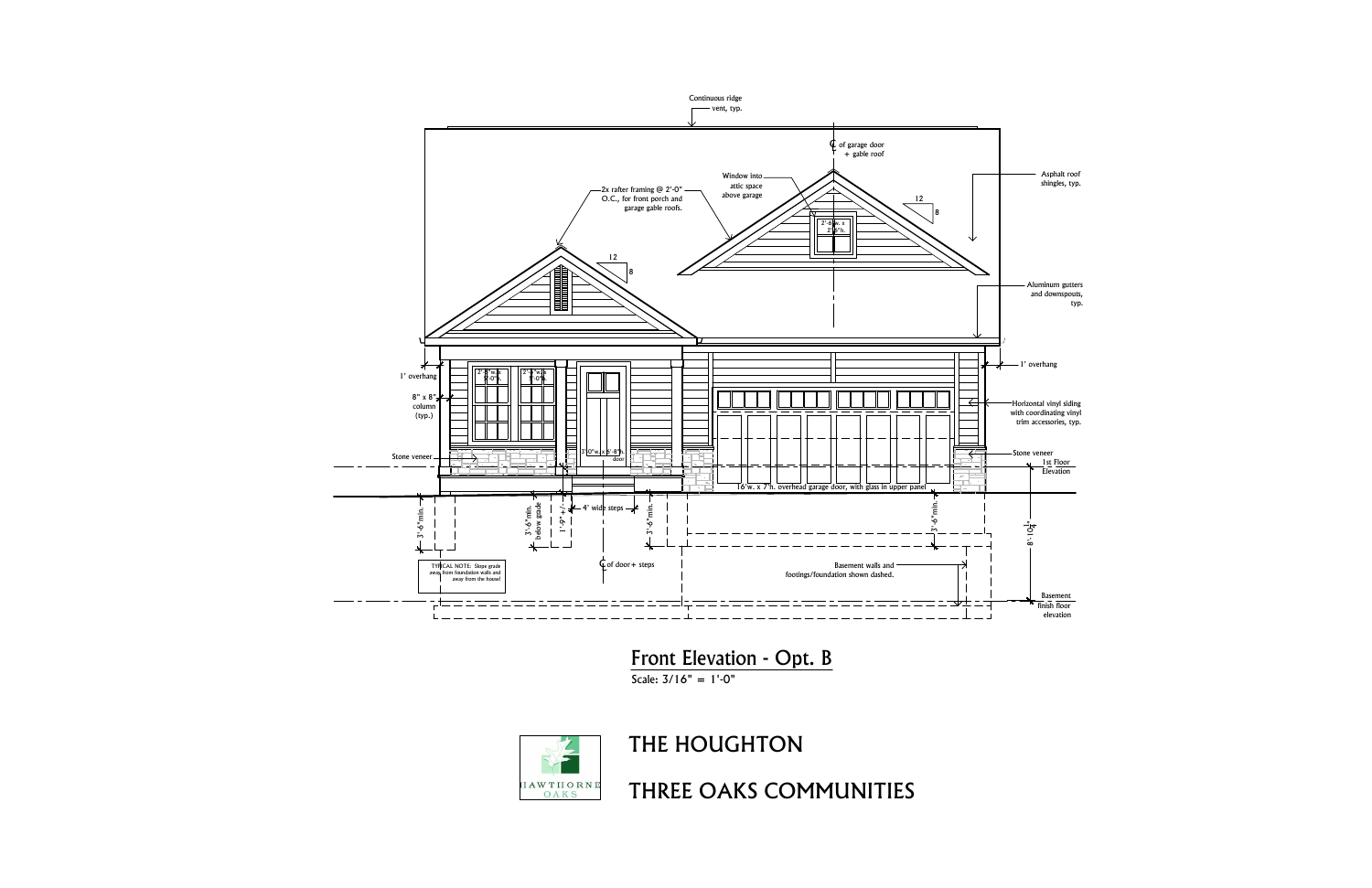Asphalt roof Asphalt roof<br>shingles, typ.

Aluminum gutters and downspouts,

<u>Basement</u><br>finish floor



Front Elevation - Opt. B<br>Scale:  $3/16"$  = 1'-0"



THE HOUGHTON<br>THREE OAKS COMMUNITIES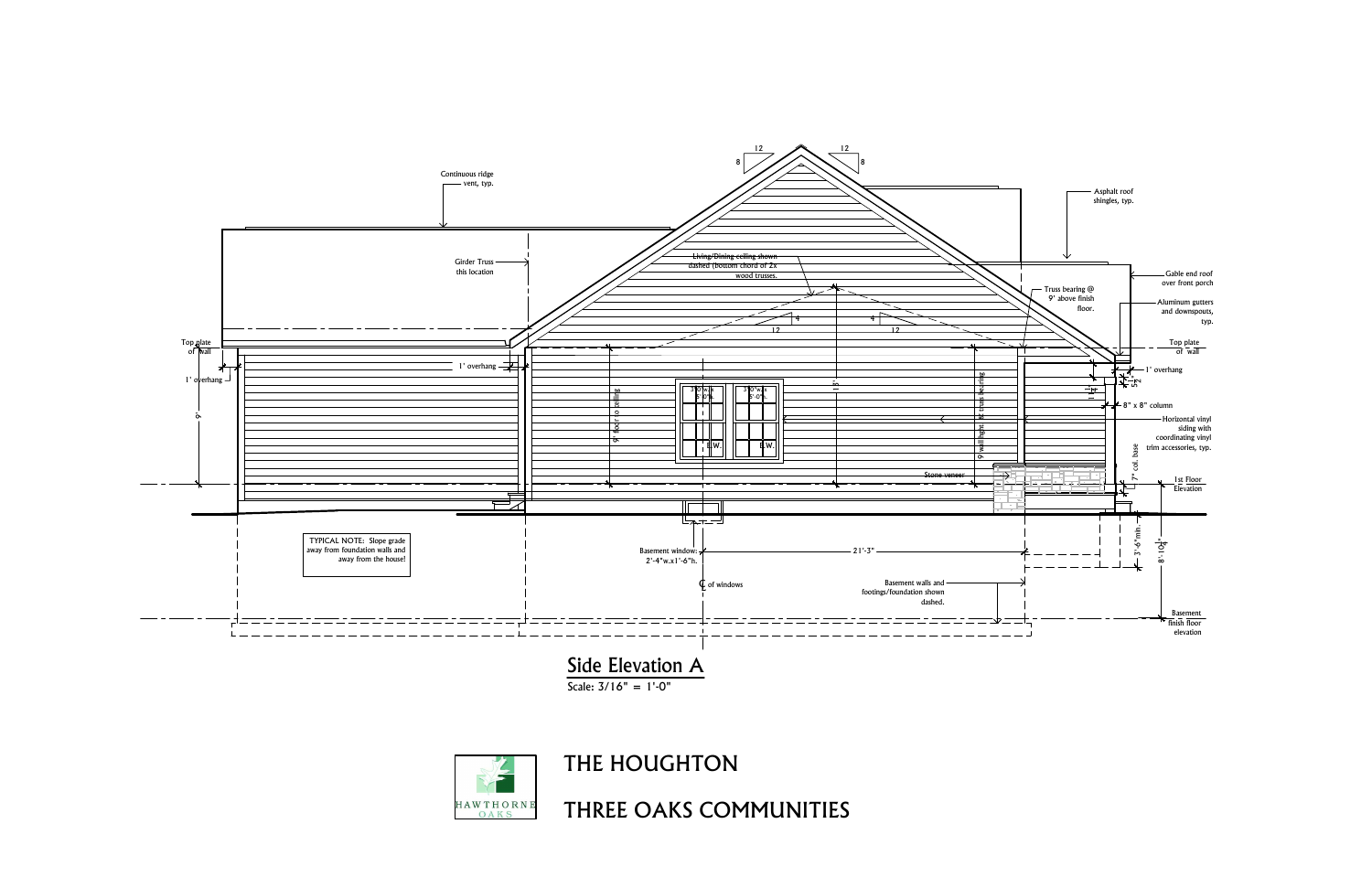



THE HOUGHTON<br>THREE OAKS COMMUNITIES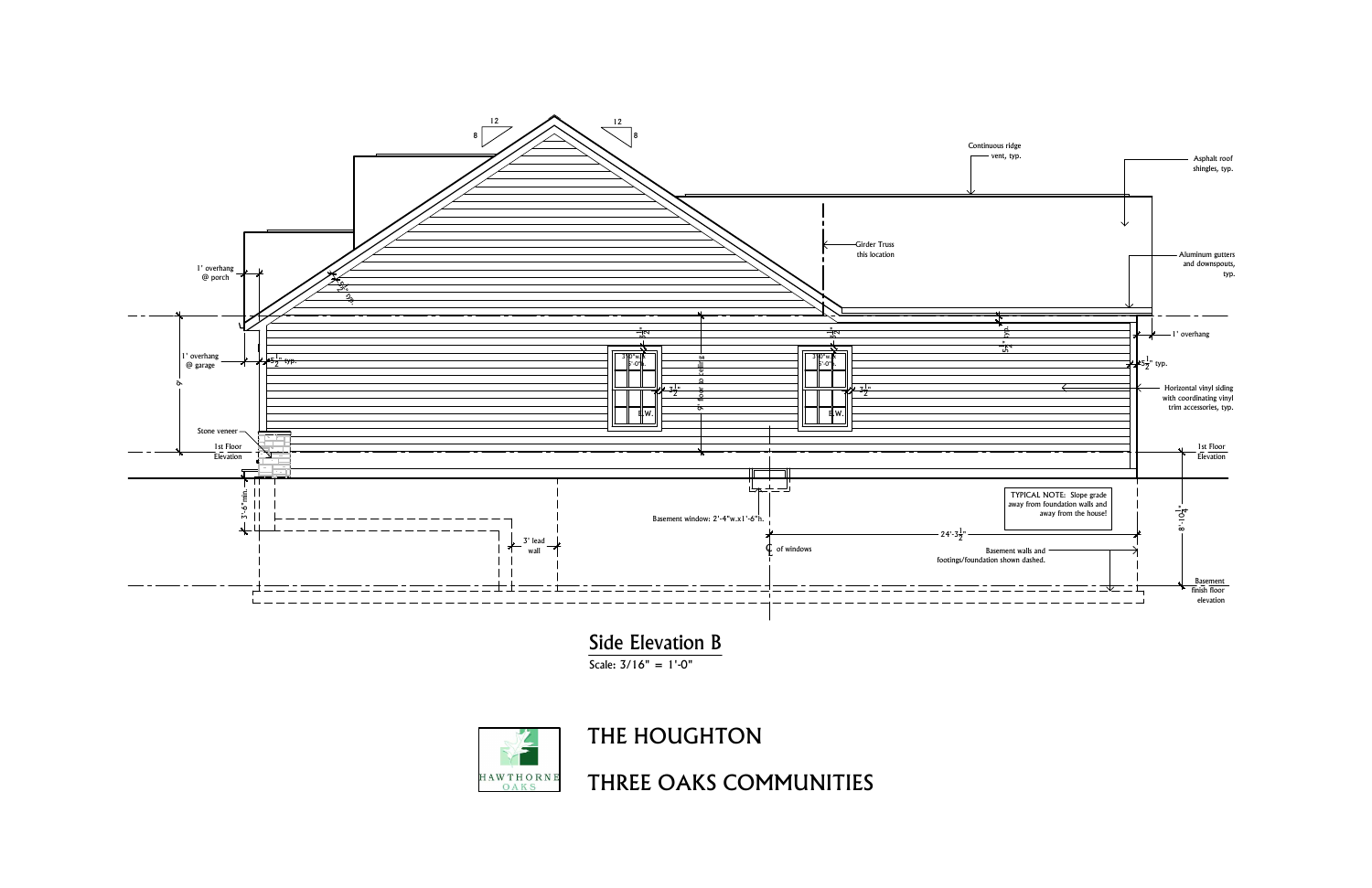

Side Elevation B



THE HOUGHTON<br>THREE OAKS COMMUNITIES